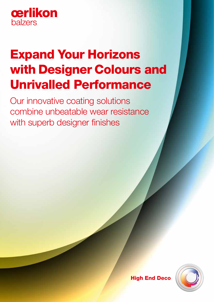

# Expand Your Horizons with Designer Colours and Unrivalled Performance

Our innovative coating solutions combine unbeatable wear resistance with superb designer finishes



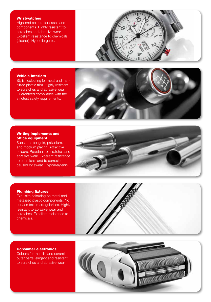### **Wristwatches**

High-end colours for cases and components. Highly resistant to scratches and abrasive wear. Excellent resistance to chemicals (alcohol). Hypoallergenic.



### Vehicle interiors

Stylish colouring for metal and metalized plastic trim. Highly resistant to scratches and abrasive wear. Guaranteed compliance with the strictest safety requirements.



### Writing implements and office equipment

Substitute for gold, palladium, and rhodium plating. Attractive colours. Resistant to scratches and abrasive wear. Excellent resistance to chemicals and to corrosion caused by sweat. Hypoallergenic.



#### Plumbing fixtures

Exquisite colouring on metal and metalized plastic components. No surface texture irregularities. Highly resistant to abrasive wear and scratches. Excellent resistance to chemicals.



### Consumer electronics

Colours for metallic and ceramic outer parts: elegant and resistant to scratches and abrasive wear.

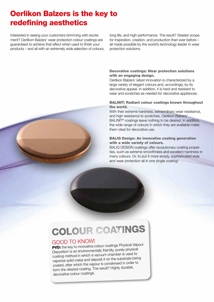## Oerlikon Balzers is the key to redefining aesthetics

Interested in seeing your customers brimming with excitement? Oerlikon Balzers' wear protection colour coatings are guaranteed to achieve that effect when used to finish your products – and all with an extremely wide selection of colours,

long life, and high performance. The result? Greater scope for inspiration, creation, and production than ever before – all made possible by the world's technology leader in wear protection solutions.

### Decorative coatings: Wear protection solutions with an engaging design.

Oerlikon Balzers' latest innovation is characterized by a large variety of elegant colours and, accordingly, by its decorative appeal. In addition, it is hard and resistant to wear and scratches as needed for decorative appliances.

### BALINIT: Radiant colour coatings known throughout the world.

With their extreme hardness, extraordinary wear resistance, and high resistance to scratches, Oerlikon Balzers' BALINIT® coatings leave nothing to be desired. In addition, the wide range of colours in which they are available make them ideal for decorative use.

### BALIQ Design: An innovative coating generation with a wide variety of colours.

BALIQ DESIGN coatings offer revolutionary coating properties, such as extreme smoothness and excellent hardness in many colours. Or, to put it more simply, sophisticated style and wear protection all in one single coating!

# Colour COATINGS

### GOOD TO KNOW!

PVD: the key to innovative colour coatings Physical Vapour Deposition is an environmentally friendly, purely physical coating method in which a vacuum chamber is used to vaporize solid metal and deposit it on the substrate being coated, after which the vapour is condensed in order to form the desired coating. The result? Highly durable, decorative colour coatings.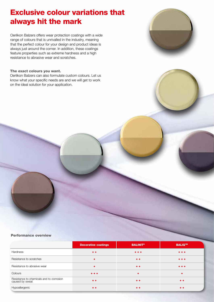## Exclusive colour variations that always hit the mark

Oerlikon Balzers offers wear protection coatings with a wide range of colours that is unrivalled in the industry, meaning that the perfect colour for your design and product ideas is always just around the corner. In addition, these coatings feature properties such as extreme hardness and a high resistance to abrasive wear and scratches.

### The exact colours you want.

Oerlikon Balzers can also formulate custom colours. Let us know what your specific needs are and we will get to work on the ideal solution for your application.



|                                                             | <b>Decorative coatings</b> | <b>BALINIT®</b> | <b>BALIQ™</b> |
|-------------------------------------------------------------|----------------------------|-----------------|---------------|
| <b>Hardness</b>                                             | $+ +$                      | $+ + +$         | $+ + +$       |
| Resistance to scratches                                     | ÷.                         | $+ +$           | $+ + +$       |
| Resistance to abrasive wear                                 | ÷                          | $+ +$           | $+ + +$       |
| Colours                                                     | $+ + +$                    | ÷.              | ٠             |
| Resistance to chemicals and to corrosion<br>caused by sweat | $+ +$                      | $+ +$           | $+ +$         |
| Hypoallergenic                                              | $+ +$                      | $+ +$           | $+ +$         |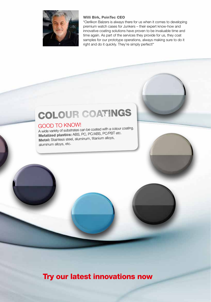

### Willi Birk, PoinTec CEO

"Oerlikon Balzers is always there for us when it comes to developing premium watch cases for Junkers – their expert know-how and innovative coating solutions have proven to be invaluable time and time again. As part of the services they provide for us, they coat samples for our prototype operations, always making sure to do it right and do it quickly. They're simply perfect!"

# Colour COATINGS

### GOOD TO KNOW!

A wide variety of substrates can be coated with a colour coating. Metalized plastics: ABS, PC, PC/ABS, PC/PBT etc. Metal: Stainless steel, aluminum, titanium alloys, aluminum alloys, etc.